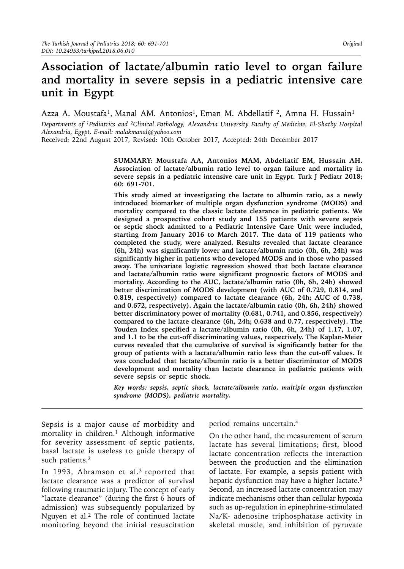# **Association of lactate/albumin ratio level to organ failure and mortality in severe sepsis in a pediatric intensive care unit in Egypt**

Azza A. Moustafa<sup>1</sup>, Manal AM. Antonios<sup>1</sup>, Eman M. Abdellatif <sup>2</sup>, Amna H. Hussain<sup>1</sup>

*Departments of 1Pediatrics and 2Clinical Pathology, Alexandria University Faculty of Medicine, El-Shatby Hospital Alexandria, Egypt. E-mail: [malakmanal@yahoo.com](mailto:malakmanal@yahoo.com)* 

Received: 22nd August 2017, Revised: 10th October 2017, Accepted: 24th December 2017

**SUMMARY: Moustafa AA, Antonios MAM, Abdellatif EM, Hussain AH. Association of lactate/albumin ratio level to organ failure and mortality in severe sepsis in a pediatric intensive care unit in Egypt. Turk J Pediatr 2018; 60: 691-701.** 

**This study aimed at investigating the lactate to albumin ratio, as a newly introduced biomarker of multiple organ dysfunction syndrome (MODS) and mortality compared to the classic lactate clearance in pediatric patients. We designed a prospective cohort study and 155 patients with severe sepsis or septic shock admitted to a Pediatric Intensive Care Unit were included, starting from January 2016 to March 2017. The data of 119 patients who completed the study, were analyzed. Results revealed that lactate clearance (6h, 24h) was significantly lower and lactate/albumin ratio (0h, 6h, 24h) was significantly higher in patients who developed MODS and in those who passed away. The univariate logistic regression showed that both lactate clearance and lactate/albumin ratio were significant prognostic factors of MODS and mortality. According to the AUC, lactate/albumin ratio (0h, 6h, 24h) showed better discrimination of MODS development (with AUC of 0.729, 0.814, and 0.819, respectively) compared to lactate clearance (6h, 24h; AUC of 0.738, and 0.672, respectively). Again the lactate/albumin ratio (0h, 6h, 24h) showed better discriminatory power of mortality (0.681, 0.741, and 0.856, respectively) compared to the lactate clearance (6h, 24h; 0.638 and 0.77, respectively). The Youden Index specified a lactate/albumin ratio (0h, 6h, 24h) of 1.17, 1.07, and 1.1 to be the cut-off discriminating values, respectively. The Kaplan-Meier curves revealed that the cumulative of survival is significantly better for the group of patients with a lactate/albumin ratio less than the cut-off values. It was concluded that lactate/albumin ratio is a better discriminator of MODS development and mortality than lactate clearance in pediatric patients with severe sepsis or septic shock.** 

*Key words: sepsis, septic shock, lactate/albumin ratio, multiple organ dysfunction syndrome (MODS), pediatric mortality.* 

Sepsis is a major cause of morbidity and mortality in children.<sup>1</sup> Although informative for severity assessment of septic patients, basal lactate is useless to guide therapy of such patients.<sup>2</sup>

In 1993, Abramson et al.<sup>3</sup> reported that lactate clearance was a predictor of survival following traumatic injury. The concept of early "lactate clearance" (during the first 6 hours of admission) was subsequently popularized by Nguyen et al.<sup>2</sup> The role of continued lactate monitoring beyond the initial resuscitation period remains uncertain.4

On the other hand, the measurement of serum lactate has several limitations; first, blood lactate concentration reflects the interaction between the production and the elimination of lactate. For example, a sepsis patient with hepatic dysfunction may have a higher lactate.<sup>5</sup> Second, an increased lactate concentration may indicate mechanisms other than cellular hypoxia such as up-regulation in epinephrine-stimulated Na/K- adenosine triphosphatase activity in skeletal muscle, and inhibition of pyruvate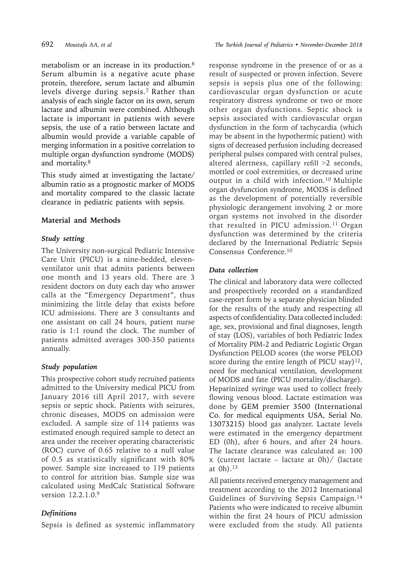metabolism or an increase in its production.6 Serum albumin is a negative acute phase protein, therefore, serum lactate and albumin levels diverge during sepsis.7 Rather than analysis of each single factor on its own, serum lactate and albumin were combined. Although lactate is important in patients with severe sepsis, the use of a ratio between lactate and albumin would provide a variable capable of merging information in a positive correlation to multiple organ dysfunction syndrome (MODS) and mortality.<sup>8</sup>

This study aimed at investigating the lactate/ albumin ratio as a prognostic marker of MODS and mortality compared to the classic lactate clearance in pediatric patients with sepsis.

## **Material and Methods**

## *Study setting*

The University non-surgical Pediatric Intensive Care Unit (PICU) is a nine-bedded, elevenventilator unit that admits patients between one month and 13 years old. There are 3 resident doctors on duty each day who answer calls at the "Emergency Department", thus minimizing the little delay that exists before ICU admissions. There are 3 consultants and one assistant on call 24 hours, patient nurse ratio is 1:1 round the clock. The number of patients admitted averages 300-350 patients annually.

## *Study population*

This prospective cohort study recruited patients admitted to the University medical PICU from January 2016 till April 2017, with severe sepsis or septic shock. Patients with seizures, chronic diseases, MODS on admission were excluded. A sample size of 114 patients was estimated enough required sample to detect an area under the receiver operating characteristic (ROC) curve of 0.65 relative to a null value of 0.5 as statistically significant with 80% power. Sample size increased to 119 patients to control for attrition bias. Sample size was calculated using MedCalc Statistical Software version 12.2.1.0.9

## *Definitions*

Sepsis is defined as systemic inflammatory

response syndrome in the presence of or as a result of suspected or proven infection. Severe sepsis is sepsis plus one of the following: cardiovascular organ dysfunction or acute respiratory distress syndrome or two or more other organ dysfunctions. Septic shock is sepsis associated with cardiovascular organ dysfunction in the form of tachycardia (which may be absent in the hypothermic patient) with signs of decreased perfusion including decreased peripheral pulses compared with central pulses, altered alertness, capillary refill >2 seconds, mottled or cool extremities, or decreased urine output in a child with infection.10 Multiple organ dysfunction syndrome, MODS is defined as the development of potentially reversible physiologic derangement involving 2 or more organ systems not involved in the disorder that resulted in PICU admission.<sup>11</sup> Organ dysfunction was determined by the criteria declared by the International Pediatric Sepsis Consensus Conference.10

## *Data collection*

The clinical and laboratory data were collected and prospectively recorded on a standardized case-report form by a separate physician blinded for the results of the study and respecting all aspects of confidentiality. Data collected included: age, sex, provisional and final diagnoses, length of stay (LOS), variables of both Pediatric Index of Mortality PIM-2 and Pediatric Logistic Organ Dysfunction PELOD scores (the worse PELOD score during the entire length of PICU stay) $12$ , need for mechanical ventilation, development of MODS and fate (PICU mortality/discharge). Heparinized syringe was used to collect freely flowing venous blood. Lactate estimation was done by GEM premier 3500 (International Co. for medical equipments USA, Serial No. 13073215) blood gas analyzer. Lactate levels were estimated in the emergency department ED (0h), after 6 hours, and after 24 hours. The lactate clearance was calculated as: 100 x (current lactate – lactate at 0h)/ (lactate at 0h).<sup>13</sup>

All patients received emergency management and treatment according to the 2012 International Guidelines of Surviving Sepsis Campaign.14 Patients who were indicated to receive albumin within the first 24 hours of PICU admission were excluded from the study. All patients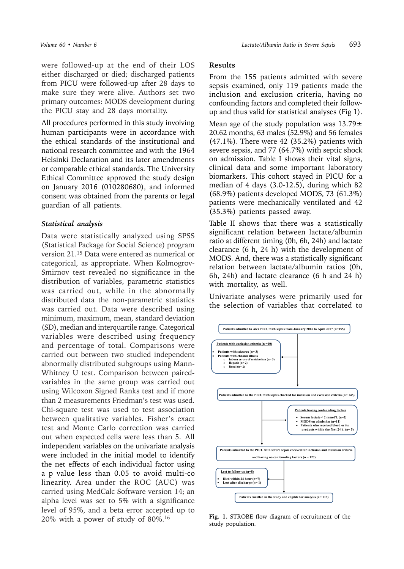were followed-up at the end of their LOS either discharged or died; discharged patients from PICU were followed-up after 28 days to make sure they were alive. Authors set two primary outcomes: MODS development during the PICU stay and 28 days mortality.

All procedures performed in this study involving human participants were in accordance with the ethical standards of the institutional and national research committee and with the 1964 Helsinki Declaration and its later amendments or comparable ethical standards. The University Ethical Committee approved the study design on January 2016 (010280680), and informed consent was obtained from the parents or legal guardian of all patients.

#### *Statistical analysis*

Data were statistically analyzed using SPSS (Statistical Package for Social Science) program version 21.15 Data were entered as numerical or categorical, as appropriate. When Kolmogrov-Smirnov test revealed no significance in the distribution of variables, parametric statistics was carried out, while in the abnormally distributed data the non-parametric statistics was carried out. Data were described using minimum, maximum, mean, standard deviation (SD), median and interquartile range. Categorical variables were described using frequency and percentage of total. Comparisons were carried out between two studied independent abnormally distributed subgroups using Mann-Whitney U test. Comparison between pairedvariables in the same group was carried out using Wilcoxon Signed Ranks test and if more than 2 measurements Friedman's test was used. Chi-square test was used to test association between qualitative variables. Fisher's exact test and Monte Carlo correction was carried out when expected cells were less than 5. All independent variables on the univariate analysis were included in the initial model to identify the net effects of each individual factor using a p value less than 0.05 to avoid multi-co linearity. Area under the ROC (AUC) was carried using MedCalc Software version 14; an alpha level was set to 5% with a significance level of 95%, and a beta error accepted up to 20% with a power of study of 80%.16

### **Results**

From the 155 patients admitted with severe sepsis examined, only 119 patients made the inclusion and exclusion criteria, having no confounding factors and completed their followup and thus valid for statistical analyses (Fig 1).

Mean age of the study population was  $13.79 \pm$ 20.62 months, 63 males (52.9%) and 56 females (47.1%). There were 42 (35.2%) patients with severe sepsis, and 77 (64.7%) with septic shock on admission. Table I shows their vital signs, clinical data and some important laboratory biomarkers. This cohort stayed in PICU for a median of 4 days (3.0-12.5), during which 82 (68.9%) patients developed MODS, 73 (61.3%) patients were mechanically ventilated and 42 (35.3%) patients passed away.

Table II shows that there was a statistically significant relation between lactate/albumin ratio at different timing (0h, 6h, 24h) and lactate clearance (6 h, 24 h) with the development of MODS. And, there was a statistically significant relation between lactate/albumin ratios (0h, 6h, 24h) and lactate clearance (6 h and 24 h) with mortality, as well.

Univariate analyses were primarily used for the selection of variables that correlated to



**Fig. 1.** STROBE flow diagram of recruitment of the study population.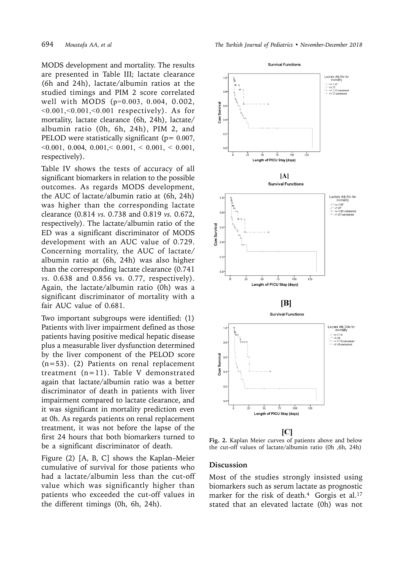MODS development and mortality. The results are presented in Table III; lactate clearance (6h and 24h), lactate/albumin ratios at the studied timings and PIM 2 score correlated well with MODS (p=0.003, 0.004, 0.002,  $< 0.001, < 0.001, < 0.001$  respectively). As for mortality, lactate clearance (6h, 24h), lactate/ albumin ratio (0h, 6h, 24h), PIM 2, and PELOD were statistically significant ( $p = 0.007$ ,  $\leq 0.001, 0.004, 0.001 \leq 0.001, \leq 0.001, \leq 0.001,$ respectively).

Table IV shows the tests of accuracy of all significant biomarkers in relation to the possible outcomes. As regards MODS development, the AUC of lactate/albumin ratio at (6h, 24h) was higher than the corresponding lactate clearance (0.814 *vs.* 0.738 and 0.819 *vs.* 0.672, respectively). The lactate/albumin ratio of the ED was a significant discriminator of MODS development with an AUC value of 0.729. Concerning mortality, the AUC of lactate/ albumin ratio at (6h, 24h) was also higher than the corresponding lactate clearance (0.741 *vs.* 0.638 and 0.856 vs. 0.77, respectively). Again, the lactate/albumin ratio (0h) was a significant discriminator of mortality with a fair AUC value of 0.681.

Two important subgroups were identified: (1) Patients with liver impairment defined as those patients having positive medical hepatic disease plus a measurable liver dysfunction determined by the liver component of the PELOD score (n=53). (2) Patients on renal replacement treatment (n=11). Table V demonstrated again that lactate/albumin ratio was a better discriminator of death in patients with liver impairment compared to lactate clearance, and it was significant in mortality prediction even at 0h. As regards patients on renal replacement treatment, it was not before the lapse of the first 24 hours that both biomarkers turned to be a significant discriminator of death.

Figure (2) [A, B, C] shows the Kaplan–Meier cumulative of survival for those patients who had a lactate/albumin less than the cut-off value which was significantly higher than patients who exceeded the cut-off values in the different timings (0h, 6h, 24h).



**Fig. 2.** Kaplan Meier curves of patients above and below the cut-off values of lactate/albumin ratio (0h ,6h, 24h)

#### **Discussion**

Most of the studies strongly insisted using biomarkers such as serum lactate as prognostic marker for the risk of death.<sup>4</sup> Gorgis et al.<sup>17</sup> stated that an elevated lactate (0h) was not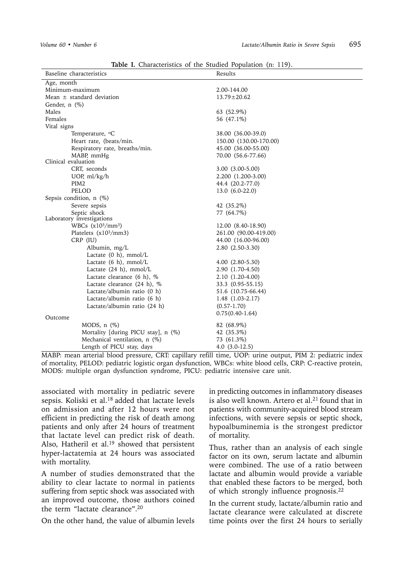| Baseline characteristics                  | Results                |  |  |  |  |
|-------------------------------------------|------------------------|--|--|--|--|
| Age, month                                |                        |  |  |  |  |
| Minimum-maximum                           | 2.00-144.00            |  |  |  |  |
| Mean $\pm$ standard deviation             | $13.79 \pm 20.62$      |  |  |  |  |
| Gender, $n$ $(\%)$                        |                        |  |  |  |  |
| Males                                     | 63 (52.9%)             |  |  |  |  |
| Females                                   | 56 (47.1%)             |  |  |  |  |
| Vital signs                               |                        |  |  |  |  |
| Temperature, <sup>o</sup> C               | 38.00 (36.00-39.0)     |  |  |  |  |
| Heart rate, (beats/min.                   | 150.00 (130.00-170.00) |  |  |  |  |
| Respiratory rate, breaths/min.            | 45.00 (36.00-55.00)    |  |  |  |  |
| MABP, mmHg                                | 70.00 (56.6-77.66)     |  |  |  |  |
| Clinical evaluation                       |                        |  |  |  |  |
| CRT, seconds                              | 3.00 (3.00-5.00)       |  |  |  |  |
| UOP, $ml/kg/h$                            | 2.200 (1.200-3.00)     |  |  |  |  |
| PIM <sub>2</sub>                          | 44.4 (20.2-77.0)       |  |  |  |  |
| PELOD                                     | $13.0(6.0-22.0)$       |  |  |  |  |
| Sepsis condition, $n$ (%)                 |                        |  |  |  |  |
| Severe sepsis                             | 42 (35.2%)             |  |  |  |  |
| Septic shock<br>Laboratory investigations | 77 (64.7%)             |  |  |  |  |
| WBCs $(x10^3/mm^3)$                       | 12.00 (8.40-18.90)     |  |  |  |  |
| Platelets $(x10^3/mm3)$                   | 261.00 (90.00-419.00)  |  |  |  |  |
| CRP (IU)                                  | 44.00 (16.00-96.00)    |  |  |  |  |
| Albumin, mg/L                             | $2.80(2.50-3.30)$      |  |  |  |  |
| Lactate $(0 h)$ , mmol/L                  |                        |  |  |  |  |
| Lactate $(6 h)$ , mmol/L                  | 4.00 (2.80-5.30)       |  |  |  |  |
| Lactate $(24 h)$ , mmol/L                 | 2.90 (1.70-4.50)       |  |  |  |  |
| Lactate clearance (6 h), %                | 2.10 (1.20-4.00)       |  |  |  |  |
| Lactate clearance (24 h), %               | 33.3 (0.95-55.15)      |  |  |  |  |
| Lactate/albumin ratio (0 h)               | 51.6 (10.75-66.44)     |  |  |  |  |
| Lactate/albumin ratio (6 h)               | $1.48$ $(1.03-2.17)$   |  |  |  |  |
| Lactate/albumin ratio (24 h)              | $(0.57 - 1.70)$        |  |  |  |  |
|                                           | $0.75(0.40-1.64)$      |  |  |  |  |
| Outcome                                   |                        |  |  |  |  |
| MODS, $n$ $(\%)$                          | 82 (68.9%)             |  |  |  |  |
| Mortality [during PICU stay], n (%)       | 42 (35.3%)             |  |  |  |  |
| Mechanical ventilation, n (%)             | 73 (61.3%)             |  |  |  |  |
| Length of PICU stay, days                 | $4.0(3.0-12.5)$        |  |  |  |  |

**Table I.** Characteristics of the Studied Population (n: 119).

MABP: mean arterial blood pressure, CRT: capillary refill time, UOP: urine output, PIM 2: pediatric index of mortality, PELOD: pediatric logistic organ dysfunction, WBCs: white blood cells, CRP: C-reactive protein, MODS: multiple organ dysfunction syndrome, PICU: pediatric intensive care unit.

associated with mortality in pediatric severe sepsis. Koliski et al.<sup>18</sup> added that lactate levels on admission and after 12 hours were not efficient in predicting the risk of death among patients and only after 24 hours of treatment that lactate level can predict risk of death. Also, Hatheril et al.<sup>19</sup> showed that persistent hyper-lactatemia at 24 hours was associated with mortality.

A number of studies demonstrated that the ability to clear lactate to normal in patients suffering from septic shock was associated with an improved outcome, those authors coined the term "lactate clearance".20

On the other hand, the value of albumin levels

in predicting outcomes in inflammatory diseases is also well known. Artero et al.<sup>21</sup> found that in patients with community-acquired blood stream infections, with severe sepsis or septic shock, hypoalbuminemia is the strongest predictor of mortality.

Thus, rather than an analysis of each single factor on its own, serum lactate and albumin were combined. The use of a ratio between lactate and albumin would provide a variable that enabled these factors to be merged, both of which strongly influence prognosis.<sup>22</sup>

In the current study, lactate/albumin ratio and lactate clearance were calculated at discrete time points over the first 24 hours to serially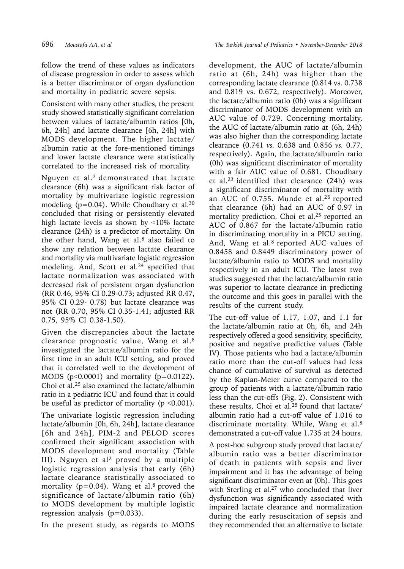follow the trend of these values as indicators of disease progression in order to assess which is a better discriminator of organ dysfunction and mortality in pediatric severe sepsis.

Consistent with many other studies, the present study showed statistically significant correlation between values of lactate/albumin ratios [0h, 6h, 24h] and lactate clearance [6h, 24h] with MODS development. The higher lactate/ albumin ratio at the fore-mentioned timings and lower lactate clearance were statistically correlated to the increased risk of mortality.

Nguyen et al.<sup>2</sup> demonstrated that lactate clearance (6h) was a significant risk factor of mortality by multivariate logistic regression modeling ( $p=0.04$ ). While Choudhary et al.<sup>30</sup> concluded that rising or persistently elevated high lactate levels as shown by ˂10% lactate clearance (24h) is a predictor of mortality. On the other hand, Wang et al. $8$  also failed to show any relation between lactate clearance and mortality via multivariate logistic regression modeling. And, Scott et al.<sup>24</sup> specified that lactate normalization was associated with decreased risk of persistent organ dysfunction (RR 0.46, 95% CI 0.29-0.73; adjusted RR 0.47, 95% CI 0.29- 0.78) but lactate clearance was not (RR 0.70, 95% CI 0.35-1.41; adjusted RR 0.75, 95% CI 0.38-1.50).

Given the discrepancies about the lactate clearance prognostic value, Wang et al.8 investigated the lactate/albumin ratio for the first time in an adult ICU setting, and proved that it correlated well to the development of MODS ( $p<0.0001$ ) and mortality ( $p=0.0122$ ). Choi et al.25 also examined the lactate/albumin ratio in a pediatric ICU and found that it could be useful as predictor of mortality ( $p \le 0.001$ ).

The univariate logistic regression including lactate/albumin [0h, 6h, 24h], lactate clearance [6h and 24h], PIM-2 and PELOD scores confirmed their significant association with MODS development and mortality (Table III). Nguyen et al<sup>2</sup> proved by a multiple logistic regression analysis that early (6h) lactate clearance statistically associated to mortality ( $p=0.04$ ). Wang et al.<sup>8</sup> proved the significance of lactate/albumin ratio (6h) to MODS development by multiple logistic regression analysis  $(p=0.033)$ .

In the present study, as regards to MODS

development, the AUC of lactate/albumin ratio at (6h, 24h) was higher than the corresponding lactate clearance (0.814 vs. 0.738 and 0.819 vs. 0.672, respectively). Moreover, the lactate/albumin ratio (0h) was a significant discriminator of MODS development with an AUC value of 0.729. Concerning mortality, the AUC of lactate/albumin ratio at (6h, 24h) was also higher than the corresponding lactate clearance (0.741 *vs.* 0.638 and 0.856 *vs.* 0.77, respectively). Again, the lactate/albumin ratio (0h) was significant discriminator of mortality with a fair AUC value of 0.681. Choudhary et al.23 identified that clearance (24h) was a significant discriminator of mortality with an AUC of 0.755. Munde et al.<sup>26</sup> reported that clearance (6h) had an AUC of 0.97 in mortality prediction. Choi et al.25 reported an AUC of 0.867 for the lactate/albumin ratio in discriminating mortality in a PICU setting. And, Wang et al.8 reported AUC values of 0.8458 and 0.8449 discriminatory power of lactate/albumin ratio to MODS and mortality respectively in an adult ICU. The latest two studies suggested that the lactate/albumin ratio was superior to lactate clearance in predicting the outcome and this goes in parallel with the results of the current study.

The cut-off value of 1.17, 1.07, and 1.1 for the lactate/albumin ratio at 0h, 6h, and 24h respectively offered a good sensitivity, specificity, positive and negative predictive values (Table IV). Those patients who had a lactate/albumin ratio more than the cut-off values had less chance of cumulative of survival as detected by the Kaplan-Meier curve compared to the group of patients with a lactate/albumin ratio less than the cut-offs (Fig. 2). Consistent with these results, Choi et al.25 found that lactate/ albumin ratio had a cut-off value of 1.016 to discriminate mortality. While, Wang et al.<sup>8</sup> demonstrated a cut-off value 1.735 at 24 hours.

A post-hoc subgroup study proved that lactate/ albumin ratio was a better discriminator of death in patients with sepsis and liver impairment and it has the advantage of being significant discriminator even at (0h). This goes with Sterling et al.<sup>27</sup> who concluded that liver dysfunction was significantly associated with impaired lactate clearance and normalization during the early resuscitation of sepsis and they recommended that an alternative to lactate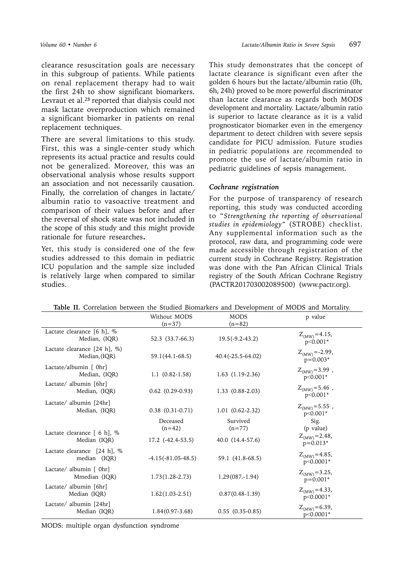clearance resuscitation goals are necessary in this subgroup of patients. While patients on renal replacement therapy had to wait the first 24h to show significant biomarkers. Levraut et al.<sup>28</sup> reported that dialysis could not mask lactate overproduction which remained a significant biomarker in patients on renal replacement techniques.

There are several limitations to this study. First, this was a single-center study which represents its actual practice and results could not be generalized. Moreover, this was an observational analysis whose results support an association and not necessarily causation. Finally, the correlation of changes in lactate/ albumin ratio to vasoactive treatment and comparison of their values before and after the reversal of shock state was not included in the scope of this study and this might provide rationale for future researches.

Yet, this study is considered one of the few studies addressed to this domain in pediatric ICU population and the sample size included is relatively large when compared to similar studies.

This study demonstrates that the concept of lactate clearance is significant even after the golden 6 hours but the lactate/albumin ratio (0h, 6h, 24h) proved to be more powerful discriminator than lactate clearance as regards both MODS development and mortality. Lactate/albumin ratio is superior to lactate clearance as it is a valid prognosticator biomarker even in the emergency department to detect children with severe sepsis candidate for PICU admission. Future studies in pediatric populations are recommended to promote the use of lactate/albumin ratio in pediatric guidelines of sepsis management.

## *Cochrane registration*

For the purpose of transparency of research reporting, this study was conducted according to "*Strengthening the reporting of observational studies in epidemiology"* (STROBE) checklist. Any supplemental information such as the protocol, raw data, and programming code were made accessible through registration of the current study in Cochrane Registry. Registration was done with the Pan African Clinical Trials registry of the South African Cochrane Registry (PACTR201703002089500) (www.pactr.org).

| <b>Table II.</b> Correlation between the Studied Biomarkers and Development of MODS and Mortality. |                             |                      |                                    |  |  |  |
|----------------------------------------------------------------------------------------------------|-----------------------------|----------------------|------------------------------------|--|--|--|
|                                                                                                    | Without MODS<br><b>MODS</b> |                      | p value                            |  |  |  |
|                                                                                                    | $(n=37)$                    | $(n=82)$             |                                    |  |  |  |
| Lactate clearance [6 h], %<br>Median, (IQR)                                                        | 52.3 (33.7-66.3)            | $19.5(-9.2-43.2)$    | $Z_{(MW)} = 4.15$ ,                |  |  |  |
|                                                                                                    |                             |                      | $p<0.001*$                         |  |  |  |
| Lactate clearance $[24 \text{ h}]$ , %)<br>Median, (IQR)                                           | 59.1(44.1-68.5)             | $40.4(-25.5-64.02)$  | $Z_{(MW)} = -2.99$ ,<br>$p=0.003*$ |  |  |  |
| Lactate/albumin [ 0hr]<br>Median, (IQR)                                                            | $1.1(0.82-1.58)$            | $1.63$ $(1.19-2.36)$ | $Z_{(MW)} = 3.99$ ,<br>p<0.001*    |  |  |  |
| Lactate/ albumin [6hr]<br>Median, (IQR)                                                            | $0.62$ $(0.29-0.93)$        | $1.33(0.88-2.03)$    | $Z_{(MW)} = 5.46$ ,<br>$p<0.001*$  |  |  |  |
| Lactate/ albumin [24hr]<br>Median, (IQR)                                                           | $0.38$ $(0.31-0.71)$        | $1.01(0.62-2.32)$    | $Z_{(MW)} = 5.55$ ,<br>p<0.001*    |  |  |  |
|                                                                                                    | Deceased<br>$(n=42)$        | Survived<br>$(n=77)$ | Sig.<br>(p value)                  |  |  |  |
| Lactate clearance $\lceil 6 \rceil$ , %<br>Median (IQR)                                            | $17.2$ $(-42.4-53.5)$       | 40.0 (14.4-57.6)     | $Z_{(MW)} = 2.48,$<br>$p=0.013*$   |  |  |  |
| Lactate clearance [24 h], %<br>median (IQR)                                                        | $-4.15(-81.05-48.5)$        | 59.1 (41.8-68.5)     | $Z_{(MW)} = 4.85$ ,<br>p<0.0001*   |  |  |  |
| Lactate/ albumin $\lceil$ 0hr $\rceil$<br>Mmedian (IQR)                                            | $1.73(1.28-2.73)$           | $1.29(087,-1.94)$    | $Z_{(MW)} = 3.25$ ,<br>$p=0.001*$  |  |  |  |
| Lactate/ albumin [6hr]<br>Median (IQR)                                                             | $1.62(1.03-2.51)$           | $0.87(0.48-1.39)$    | $Z_{(MW)} = 4.33$ ,<br>p<0.0001*   |  |  |  |
| Lactate/ albumin [24hr]<br>Median (IQR)                                                            | $1.84(0.97-3.68)$           | $0.55(0.35-0.85)$    | $Z_{(MW)} = 6.39$ ,<br>p<0.0001*   |  |  |  |

**Table II.** Correlation between the Studied Biomarkers and Development of MODS and Mortality.

MODS: multiple organ dysfunction syndrome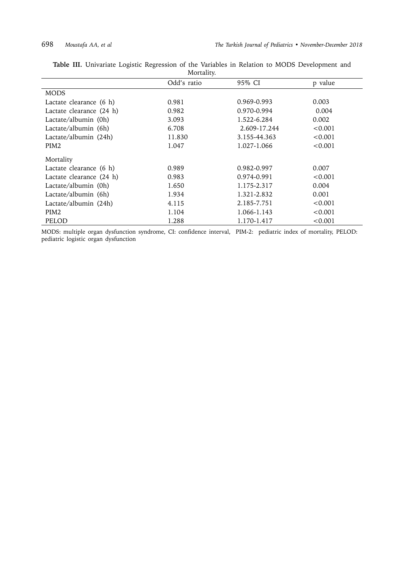|                          | Odd's ratio | 95% CI       | p value |  |  |  |  |
|--------------------------|-------------|--------------|---------|--|--|--|--|
| <b>MODS</b>              |             |              |         |  |  |  |  |
| Lactate clearance (6 h)  | 0.981       | 0.969-0.993  | 0.003   |  |  |  |  |
| Lactate clearance (24 h) | 0.982       | 0.970-0.994  | 0.004   |  |  |  |  |
| Lactate/albumin (0h)     | 3.093       | 1.522-6.284  | 0.002   |  |  |  |  |
| Lactate/albumin (6h)     | 6.708       | 2.609-17.244 | < 0.001 |  |  |  |  |
| Lactate/albumin (24h)    | 11.830      | 3.155-44.363 | < 0.001 |  |  |  |  |
| PIM <sub>2</sub>         | 1.047       |              | < 0.001 |  |  |  |  |
| Mortality                |             |              |         |  |  |  |  |
| Lactate clearance (6 h)  | 0.989       | 0.982-0.997  | 0.007   |  |  |  |  |
| Lactate clearance (24 h) | 0.983       | 0.974-0.991  | < 0.001 |  |  |  |  |
| Lactate/albumin (0h)     | 1.650       | 1.175-2.317  | 0.004   |  |  |  |  |
| Lactate/albumin (6h)     | 1.934       | 1.321-2.832  | 0.001   |  |  |  |  |
| Lactate/albumin (24h)    | 4.115       | 2.185-7.751  | < 0.001 |  |  |  |  |
| PIM <sub>2</sub>         | 1.104       | 1.066-1.143  | < 0.001 |  |  |  |  |
| PELOD                    | 1.288       | 1.170-1.417  | < 0.001 |  |  |  |  |

**Table III.** Univariate Logistic Regression of the Variables in Relation to MODS Development and Mortality.

MODS: multiple organ dysfunction syndrome, CI: confidence interval, PIM-2: pediatric index of mortality, PELOD: pediatric logistic organ dysfunction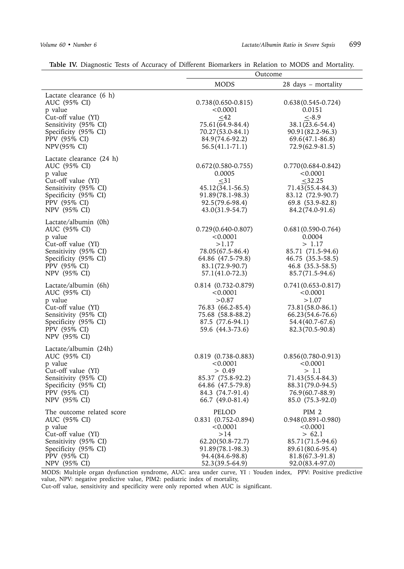|                                                                                                                                                            |                                                                                                                               | Outcome                                                                                                                                        |  |
|------------------------------------------------------------------------------------------------------------------------------------------------------------|-------------------------------------------------------------------------------------------------------------------------------|------------------------------------------------------------------------------------------------------------------------------------------------|--|
|                                                                                                                                                            | <b>MODS</b>                                                                                                                   | 28 days - mortality                                                                                                                            |  |
| Lactate clearance (6 h)<br>AUC (95% CI)<br>p value<br>Cut-off value (YI)<br>Sensitivity (95% CI)<br>Specificity (95% CI)<br>PPV (95% CI)<br>NPV(95% CI)    | $0.738(0.650-0.815)$<br>< 0.0001<br><42<br>75.61(64.9-84.4)<br>70.27(53.0-84.1)<br>84.9(74.6-92.2)<br>$56.5(41.1-71.1)$       | $0.638(0.545-0.724)$<br>0.0151<br>$< -8.9$<br>38.1(23.6-54.4)<br>90.91(82.2-96.3)<br>69.6(47.1-86.8)<br>$72.9(62.9-81.5)$                      |  |
| Lactate clearance (24 h)<br>AUC (95% CI)<br>p value<br>Cut-off value (YI)<br>Sensitivity (95% CI)<br>Specificity (95% CI)<br>PPV (95% CI)<br>NPV (95% CI)  | $0.672(0.580-0.755)$<br>0.0005<br>$\leq$ 31<br>45.12(34.1-56.5)<br>91.89(78.1-98.3)<br>92.5(79.6-98.4)<br>$43.0(31.9-54.7)$   | $0.770(0.684 - 0.842)$<br>< 0.0001<br>$\leq$ 32.25<br>71.43(55.4-84.3)<br>83.12 (72.9-90.7)<br>69.8 (53.9-82.8)<br>84.2(74.0-91.6)             |  |
| Lactate/albumin (0h)<br>AUC (95% CI)<br>p value<br>Cut-off value (YI)<br>Sensitivity (95% CI)<br>Specificity (95% CI)<br>PPV (95% CI)<br>NPV (95% CI)      | $0.729(0.640-0.807)$<br>< 0.0001<br>>1.17<br>78.05(67.5-86.4)<br>64.86 (47.5-79.8)<br>83.1(72.9-90.7)<br>57.1(41.0-72.3)      | $0.681(0.590-0.764)$<br>0.0004<br>> 1.17<br>85.71 (71.5-94.6)<br>46.75 (35.3-58.5)<br>46.8 (35.3-58.5)<br>85.7(71.5-94.6)                      |  |
| Lactate/albumin (6h)<br>AUC (95% CI)<br>p value<br>Cut-off value (YI)<br>Sensitivity (95% CI)<br>Specificity (95% CI)<br>PPV (95% CI)<br>NPV (95% CI)      | $0.814(0.732 - 0.879)$<br>< 0.0001<br>>0.87<br>76.83 (66.2-85.4)<br>75.68 (58.8-88.2)<br>87.5 (77.6-94.1)<br>59.6 (44.3-73.6) | $0.741(0.653 - 0.817)$<br>< 0.0001<br>>1.07<br>73.81(58.0-86.1)<br>66.23(54.6-76.6)<br>54.4(40.7-67.6)<br>82.3(70.5-90.8)                      |  |
| Lactate/albumin (24h)<br>AUC (95% CI)<br>p value<br>Cut-off value (YI)<br>Sensitivity (95% CI)<br>Specificity (95% CI)<br>PPV (95% CI)<br>NPV (95% CI)     | 0.819 (0.738-0.883)<br>< 0.0001<br>> 0.49<br>85.37 (75.8-92.2)<br>64.86 (47.5-79.8)<br>84.3 (74.7-91.4)<br>66.7 (49.0-81.4)   | $0.856(0.780-0.913)$<br>< 0.0001<br>>1.1<br>71.43(55.4-84.3)<br>88.31(79.0-94.5)<br>76.9(60.7-88.9)<br>85.0 (75.3-92.0)                        |  |
| The outcome related score<br>AUC (95% CI)<br>p value<br>Cut-off value (YI)<br>Sensitivity (95% CI)<br>Specificity (95% CI)<br>PPV (95% CI)<br>NPV (95% CI) | PELOD<br>0.831 (0.752-0.894)<br>< 0.0001<br>>14<br>62.20(50.8-72.7)<br>91.89(78.1-98.3)<br>94.4(84.6-98.8)<br>52.3(39.5-64.9) | PIM <sub>2</sub><br>$0.948(0.891 - 0.980)$<br>< 0.0001<br>> 62.1<br>85.71(71.5-94.6)<br>89.61(80.6-95.4)<br>81.8(67.3-91.8)<br>92.0(83.4-97.0) |  |

**Table IV.** Diagnostic Tests of Accuracy of Different Biomarkers in Relation to MODS and Mortality.

MODS: Multiple organ dysfunction syndrome, AUC: area under curve, YI : Youden index, PPV: Positive predictive value, NPV: negative predictive value, PIM2: pediatric index of mortality,

Cut-off value, sensitivity and specificity were only reported when AUC is significant.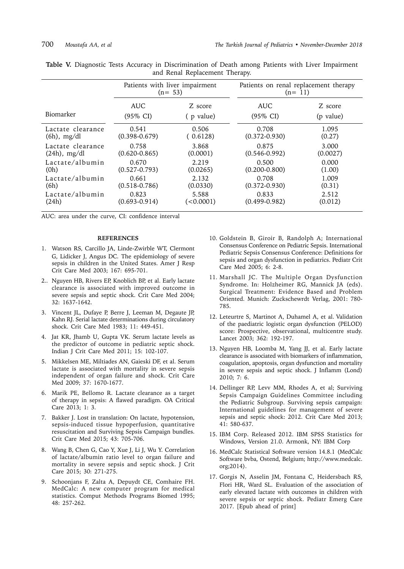|                   | Patients with liver impairment<br>$(n= 53)$ |           | Patients on renal replacement therapy<br>$(n=11)$ |           |  |  |
|-------------------|---------------------------------------------|-----------|---------------------------------------------------|-----------|--|--|
| Biomarker         | <b>AUC</b>                                  | Z score   | <b>AUC</b>                                        | Z score   |  |  |
|                   | $(95\% \text{ CI})$                         | (p value) | $(95\% \text{ CI})$                               | (p value) |  |  |
| Lactate clearance | 0.541                                       | 0.506     | 0.708                                             | 1.095     |  |  |
| $(6h)$ , mg/dl    | $(0.398 - 0.679)$                           | (0.6128)  | $(0.372 - 0.930)$                                 | (0.27)    |  |  |
| Lactate clearance | 0.758                                       | 3.868     | 0.875                                             | 3.000     |  |  |
| $(24h)$ , mg/dl   | $(0.620 - 0.865)$                           | (0.0001)  | $(0.546 - 0.992)$                                 | (0.0027)  |  |  |
| Lactate/albumin   | 0.670                                       | 2.219     | 0.500                                             | 0.000     |  |  |
| (0h)              | $(0.527 - 0.793)$                           | (0.0265)  | $(0.200 - 0.800)$                                 | (1.00)    |  |  |
| Lactate/albumin   | 0.661                                       | 2.132     | 0.708                                             | 1.009     |  |  |
| (6h)              | $(0.518 - 0.786)$                           | (0.0330)  | $(0.372 - 0.930)$                                 | (0.31)    |  |  |
| Lactate/albumin   | 0.823                                       | 5.588     | 0.833                                             | 2.512     |  |  |
| (24h)             | $(0.693 - 0.914)$                           | (<0.0001) | $(0.499 - 0.982)$                                 | (0.012)   |  |  |

| <b>Table V.</b> Diagnostic Tests Accuracy in Discrimination of Death among Patients with Liver Impairment |  |                                |  |  |  |
|-----------------------------------------------------------------------------------------------------------|--|--------------------------------|--|--|--|
|                                                                                                           |  | and Renal Replacement Therapy. |  |  |  |

AUC: area under the curve, CI: confidence interval

#### **REFERENCES**

- 1. Watson RS, Carcillo JA, Linde-Zwirble WT, [Clermont](https://www.ncbi.nlm.nih.gov/pubmed/?term=Clermont G%5BAuthor%5D&cauthor=true&cauthor_uid=12433670) [G,](https://www.ncbi.nlm.nih.gov/pubmed/?term=Clermont G%5BAuthor%5D&cauthor=true&cauthor_uid=12433670) [Lidicker J,](https://www.ncbi.nlm.nih.gov/pubmed/?term=Lidicker J%5BAuthor%5D&cauthor=true&cauthor_uid=12433670) [Angus DC](https://www.ncbi.nlm.nih.gov/pubmed/?term=Angus DC%5BAuthor%5D&cauthor=true&cauthor_uid=12433670). The epidemiology of severe sepsis in children in the United States. Amer J Resp Crit Care Med 2003; 167: 695-701.
- 2.. Nguyen HB, Rivers EP, Knoblich BP, et al. Early lactate clearance is associated with improved outcome in severe sepsis and septic shock. Crit Care Med 2004; 32: 1637-1642.
- 3. Vincent JL, Dufaye P, Berre J, Leeman M, Degaute JP, Kahn RJ. Serial lactate determinations during circulatory shock. Crit Care Med 1983; 11: 449-451.
- 4. Jat KR, Jhamb U, Gupta VK. Serum lactate levels as the predictor of outcome in pediatric septic shock. Indian J Crit Care Med 2011; 15: 102-107.
- 5. Mikkelsen ME, Miltiades AN, Gaieski DF, et al. Serum lactate is associated with mortality in severe sepsis independent of organ failure and shock. Crit Care Med 2009; 37: 1670-1677.
- 6. Marik PE, Bellomo R. Lactate clearance as a target of therapy in sepsis: A flawed paradigm. OA Critical Care 2013; 1: 3.
- 7. Bakker J. Lost in translation: On lactate, hypotension, sepsis-induced tissue hypoperfusion, quantitative resuscitation and Surviving Sepsis Campaign bundles. Crit Care Med 2015; 43: 705-706.
- 8. Wang B, Chen G, Cao Y, [Xue J](https://www.ncbi.nlm.nih.gov/pubmed/?term=Xue J%5BAuthor%5D&cauthor=true&cauthor_uid=25537574), [Li J,](https://www.ncbi.nlm.nih.gov/pubmed/?term=Li J%5BAuthor%5D&cauthor=true&cauthor_uid=25537574) [Wu Y.](https://www.ncbi.nlm.nih.gov/pubmed/?term=Wu Y%5BAuthor%5D&cauthor=true&cauthor_uid=25537574) Correlation of lactate/albumin ratio level to organ failure and mortality in severe sepsis and septic shock. J Crit Care 2015; 30: 271-275.
- 9. Schoonjans F, Zalta A, Depuydt CE, Comhaire FH. MedCalc: A new computer program for medical statistics. Comput Methods Programs Biomed 1995; 48: 257-262.
- 10. Goldstein B, Giroir B, Randolph A; [International](https://www.ncbi.nlm.nih.gov/pubmed/?term=International Consensus Conference on Pediatric Sepsis%5BCorporate Author%5D) [Consensus Conference on Pediatric Sepsis.](https://www.ncbi.nlm.nih.gov/pubmed/?term=International Consensus Conference on Pediatric Sepsis%5BCorporate Author%5D) International Pediatric Sepsis Consensus Conference: Definitions for sepsis and organ dysfunction in pediatrics. Pediatr Crit Care Med 2005; 6: 2-8.
- 11. Marshall JC. The Multiple Organ Dysfunction Syndrome. In: Holzheimer RG, Mannick JA (eds). Surgical Treatment: Evidence Based and Problem Oriented. Munich: Zuckschewrdt Verlag, 2001: 780- 785.
- 12. Leteurtre S, Martinot A, Duhamel A, et al. Validation of the paediatric logistic organ dysfunction (PELOD) score: Prospective, observational, multicentre study. Lancet 2003; 362: 192-197.
- 13. Nguyen HB, Loomba M, Yang JJ, et al. Early lactate clearance is associated with biomarkers of inflammation, coagulation, apoptosis, organ dysfunction and mortality in severe sepsis and septic shock. J Inflamm (Lond) 2010; 7: 6.
- 14. Dellinger RP, Levv MM, Rhodes A, et al; [Surviving](https://www.ncbi.nlm.nih.gov/pubmed/?term=Surviving Sepsis Campaign Guidelines Committee including the Pediatric Subgroup%5BCorporate Author%5D) [Sepsis Campaign Guidelines Committee including](https://www.ncbi.nlm.nih.gov/pubmed/?term=Surviving Sepsis Campaign Guidelines Committee including the Pediatric Subgroup%5BCorporate Author%5D) [the Pediatric Subgroup.](https://www.ncbi.nlm.nih.gov/pubmed/?term=Surviving Sepsis Campaign Guidelines Committee including the Pediatric Subgroup%5BCorporate Author%5D) Surviving sepsis campaign: International guidelines for management of severe sepsis and septic shock: 2012. Crit Care Med 2013; 41: 580-637.
- 15. IBM Corp. Released 2012. IBM SPSS Statistics for Windows, Version 21.0. Armonk, NY: IBM Corp
- 16. MedCalc Statistical Software version 14.8.1 (MedCalc Software bvba, Ostend, Belgium; http://www.medcalc. org;2014).
- 17. Gorgis N, Asselin JM, Fontana C, [Heidersbach RS,](https://www.ncbi.nlm.nih.gov/pubmed/?term=Heidersbach RS%5BAuthor%5D&cauthor=true&cauthor_uid=28072671) [Flori HR](https://www.ncbi.nlm.nih.gov/pubmed/?term=Flori HR%5BAuthor%5D&cauthor=true&cauthor_uid=28072671), [Ward SL](https://www.ncbi.nlm.nih.gov/pubmed/?term=Ward SL%5BAuthor%5D&cauthor=true&cauthor_uid=28072671). Evaluation of the association of early elevated lactate with outcomes in children with severe sepsis or septic shock. Pediatr Emerg Care 2017. [Epub ahead of print]